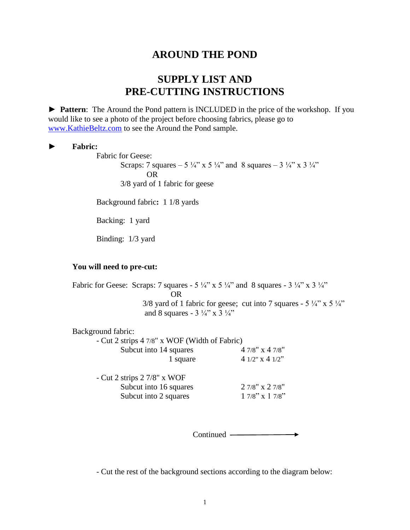## **AROUND THE POND**

## **SUPPLY LIST AND PRE-CUTTING INSTRUCTIONS**

► **Pattern**: The Around the Pond pattern is INCLUDED in the price of the workshop. If you would like to see a photo of the project before choosing fabrics, please go to [www.KathieBeltz.com](http://www.kathiebeltz.com/) to see the Around the Pond sample.

## ► **Fabric:**

Fabric for Geese:

Scraps: 7 squares – 5  $\frac{1}{4}$ " x 5  $\frac{1}{4}$ " and 8 squares – 3  $\frac{1}{4}$ " x 3  $\frac{1}{4}$ " OR 3/8 yard of 1 fabric for geese

Background fabric**:** 1 1/8 yards

Backing:1 yard

Binding:1/3 yard

## **You will need to pre-cut:**

Fabric for Geese: Scraps: 7 squares - 5  $\frac{1}{4}$ " x 5  $\frac{1}{4}$ " and 8 squares - 3  $\frac{1}{4}$ " x 3  $\frac{1}{4}$ " OR 3/8 yard of 1 fabric for geese; cut into 7 squares -  $5\frac{1}{4}$ " x  $5\frac{1}{4}$ " and 8 squares -  $3\frac{1}{4}$ " x  $3\frac{1}{4}$ "

Background fabric:

- Cut 2 strips 4 7/8" x WOF (Width of Fabric) Subcut into  $14$  squares  $47/8$ " x  $47/8$ " 1 square 4 1/2" x 4 1/2"

- Cut 2 strips 2 7/8" x WOF Subcut into 16 squares 2 7/8"  $x$  2 7/8"<br>Subcut into 2 squares 1 7/8"  $x$  1 7/8" Subcut into 2 squares

Continued

- Cut the rest of the background sections according to the diagram below: